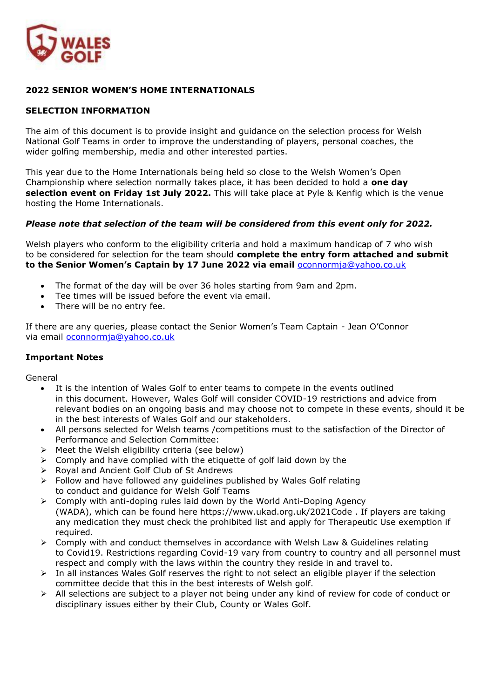

### **2022 SENIOR WOMEN'S HOME INTERNATIONALS**

#### **SELECTION INFORMATION**

The aim of this document is to provide insight and guidance on the selection process for Welsh National Golf Teams in order to improve the understanding of players, personal coaches, the wider golfing membership, media and other interested parties.

This year due to the Home Internationals being held so close to the Welsh Women's Open Championship where selection normally takes place, it has been decided to hold a **one day selection event on Friday 1st July 2022.** This will take place at Pyle & Kenfig which is the venue hosting the Home Internationals.

#### *Please note that selection of the team will be considered from this event only for 2022.*

Welsh players who conform to the eligibility criteria and hold a maximum handicap of 7 who wish to be considered for selection for the team should **complete the entry form attached and submit to the Senior Women's Captain by 17 June 2022 via email** [oconnormja@yahoo.co.uk](mailto:oconnormja@yahoo.co.uk)

- The format of the day will be over 36 holes starting from 9am and 2pm.
- Tee times will be issued before the event via email.
- There will be no entry fee.

If there are any queries, please contact the Senior Women's Team Captain - Jean O'Connor via email [oconnormja@yahoo.co.uk](mailto:oconnormja@yahoo.co.uk)

#### **Important Notes**

General

- It is the intention of Wales Golf to enter teams to compete in the events outlined in this document. However, Wales Golf will consider COVID-19 restrictions and advice from relevant bodies on an ongoing basis and may choose not to compete in these events, should it be in the best interests of Wales Golf and our stakeholders.
- All persons selected for Welsh teams /competitions must to the satisfaction of the Director of Performance and Selection Committee:
- $\triangleright$  Meet the Welsh eligibility criteria (see below)
- $\triangleright$  Comply and have complied with the etiquette of golf laid down by the
- ➢ Royal and Ancient Golf Club of St Andrews
- $\triangleright$  Follow and have followed any guidelines published by Wales Golf relating to conduct and guidance for Welsh Golf Teams
- $\triangleright$  Comply with anti-doping rules laid down by the World Anti-Doping Agency (WADA), which can be found here https://www.ukad.org.uk/2021Code . If players are taking any medication they must check the prohibited list and apply for Therapeutic Use exemption if required.
- $\triangleright$  Comply with and conduct themselves in accordance with Welsh Law & Guidelines relating to Covid19. Restrictions regarding Covid-19 vary from country to country and all personnel must respect and comply with the laws within the country they reside in and travel to.
- $\triangleright$  In all instances Wales Golf reserves the right to not select an eligible player if the selection committee decide that this in the best interests of Welsh golf.
- ➢ All selections are subject to a player not being under any kind of review for code of conduct or disciplinary issues either by their Club, County or Wales Golf.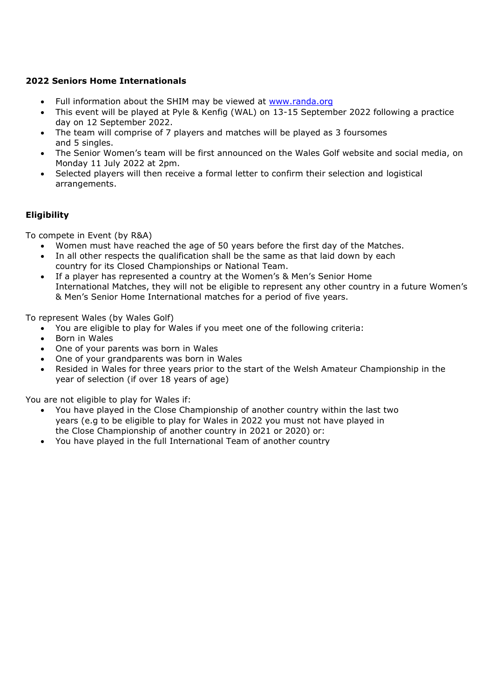## **2022 Seniors Home Internationals**

- Full information about the SHIM may be viewed at [www.randa.org](http://www.randa.org/)
- This event will be played at Pyle & Kenfig (WAL) on 13-15 September 2022 following a practice day on 12 September 2022.
- The team will comprise of 7 players and matches will be played as 3 foursomes and 5 singles.
- The Senior Women's team will be first announced on the Wales Golf website and social media, on Monday 11 July 2022 at 2pm.
- Selected players will then receive a formal letter to confirm their selection and logistical arrangements.

### **Eligibility**

To compete in Event (by R&A)

- Women must have reached the age of 50 years before the first day of the Matches.
- In all other respects the qualification shall be the same as that laid down by each country for its Closed Championships or National Team.
- If a player has represented a country at the Women's & Men's Senior Home International Matches, they will not be eligible to represent any other country in a future Women's & Men's Senior Home International matches for a period of five years.

To represent Wales (by Wales Golf)

- You are eligible to play for Wales if you meet one of the following criteria:
- Born in Wales
- One of your parents was born in Wales
- One of your grandparents was born in Wales
- Resided in Wales for three years prior to the start of the Welsh Amateur Championship in the year of selection (if over 18 years of age)

You are not eligible to play for Wales if:

- You have played in the Close Championship of another country within the last two years (e.g to be eligible to play for Wales in 2022 you must not have played in the Close Championship of another country in 2021 or 2020) or:
- You have played in the full International Team of another country